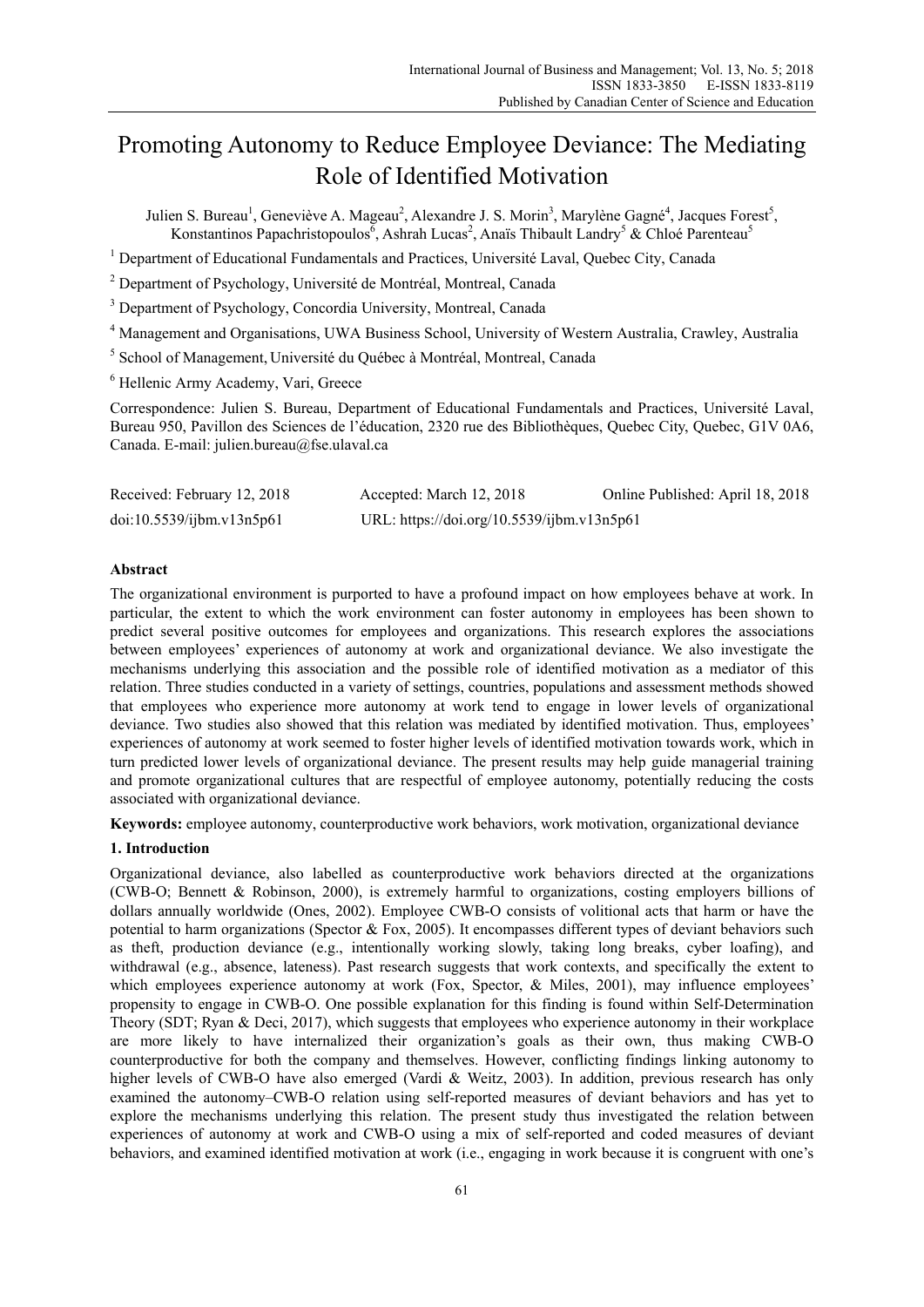# Promoting Autonomy to Reduce Employee Deviance: The Mediating Role of Identified Motivation

Julien S. Bureau<sup>1</sup>, Geneviève A. Mageau<sup>2</sup>, Alexandre J. S. Morin<sup>3</sup>, Marylène Gagné<sup>4</sup>, Jacques Forest<sup>5</sup>, Konstantinos Papachristopoulos<sup> $\bar{6}$ </sup>, Ashrah Lucas<sup>2</sup>, Anaïs Thibault Landry<sup>5</sup> & Chloé Parenteau<sup>5</sup>

<sup>1</sup> Department of Educational Fundamentals and Practices, Université Laval, Quebec City, Canada

<sup>2</sup> Department of Psychology, Université de Montréal, Montreal, Canada

<sup>3</sup> Department of Psychology, Concordia University, Montreal, Canada

<sup>4</sup> Management and Organisations, UWA Business School, University of Western Australia, Crawley, Australia

5 School of Management, Université du Québec à Montréal, Montreal, Canada

6 Hellenic Army Academy, Vari, Greece

Correspondence: Julien S. Bureau, Department of Educational Fundamentals and Practices, Université Laval, Bureau 950, Pavillon des Sciences de l'éducation, 2320 rue des Bibliothèques, Quebec City, Quebec, G1V 0A6, Canada. E-mail: julien.bureau@fse.ulaval.ca

| Received: February 12, 2018 | Accepted: March 12, 2018                   | Online Published: April 18, 2018 |
|-----------------------------|--------------------------------------------|----------------------------------|
| doi:10.5539/jbm.v13n5p61    | URL: https://doi.org/10.5539/ijbm.v13n5p61 |                                  |

## **Abstract**

The organizational environment is purported to have a profound impact on how employees behave at work. In particular, the extent to which the work environment can foster autonomy in employees has been shown to predict several positive outcomes for employees and organizations. This research explores the associations between employees' experiences of autonomy at work and organizational deviance. We also investigate the mechanisms underlying this association and the possible role of identified motivation as a mediator of this relation. Three studies conducted in a variety of settings, countries, populations and assessment methods showed that employees who experience more autonomy at work tend to engage in lower levels of organizational deviance. Two studies also showed that this relation was mediated by identified motivation. Thus, employees' experiences of autonomy at work seemed to foster higher levels of identified motivation towards work, which in turn predicted lower levels of organizational deviance. The present results may help guide managerial training and promote organizational cultures that are respectful of employee autonomy, potentially reducing the costs associated with organizational deviance.

**Keywords:** employee autonomy, counterproductive work behaviors, work motivation, organizational deviance

# **1. Introduction**

Organizational deviance, also labelled as counterproductive work behaviors directed at the organizations (CWB-O; Bennett & Robinson, 2000), is extremely harmful to organizations, costing employers billions of dollars annually worldwide (Ones, 2002). Employee CWB-O consists of volitional acts that harm or have the potential to harm organizations (Spector & Fox, 2005). It encompasses different types of deviant behaviors such as theft, production deviance (e.g., intentionally working slowly, taking long breaks, cyber loafing), and withdrawal (e.g., absence, lateness). Past research suggests that work contexts, and specifically the extent to which employees experience autonomy at work (Fox, Spector, & Miles, 2001), may influence employees' propensity to engage in CWB-O. One possible explanation for this finding is found within Self-Determination Theory (SDT; Ryan & Deci, 2017), which suggests that employees who experience autonomy in their workplace are more likely to have internalized their organization's goals as their own, thus making CWB-O counterproductive for both the company and themselves. However, conflicting findings linking autonomy to higher levels of CWB-O have also emerged (Vardi & Weitz, 2003). In addition, previous research has only examined the autonomy–CWB-O relation using self-reported measures of deviant behaviors and has yet to explore the mechanisms underlying this relation. The present study thus investigated the relation between experiences of autonomy at work and CWB-O using a mix of self-reported and coded measures of deviant behaviors, and examined identified motivation at work (i.e., engaging in work because it is congruent with one's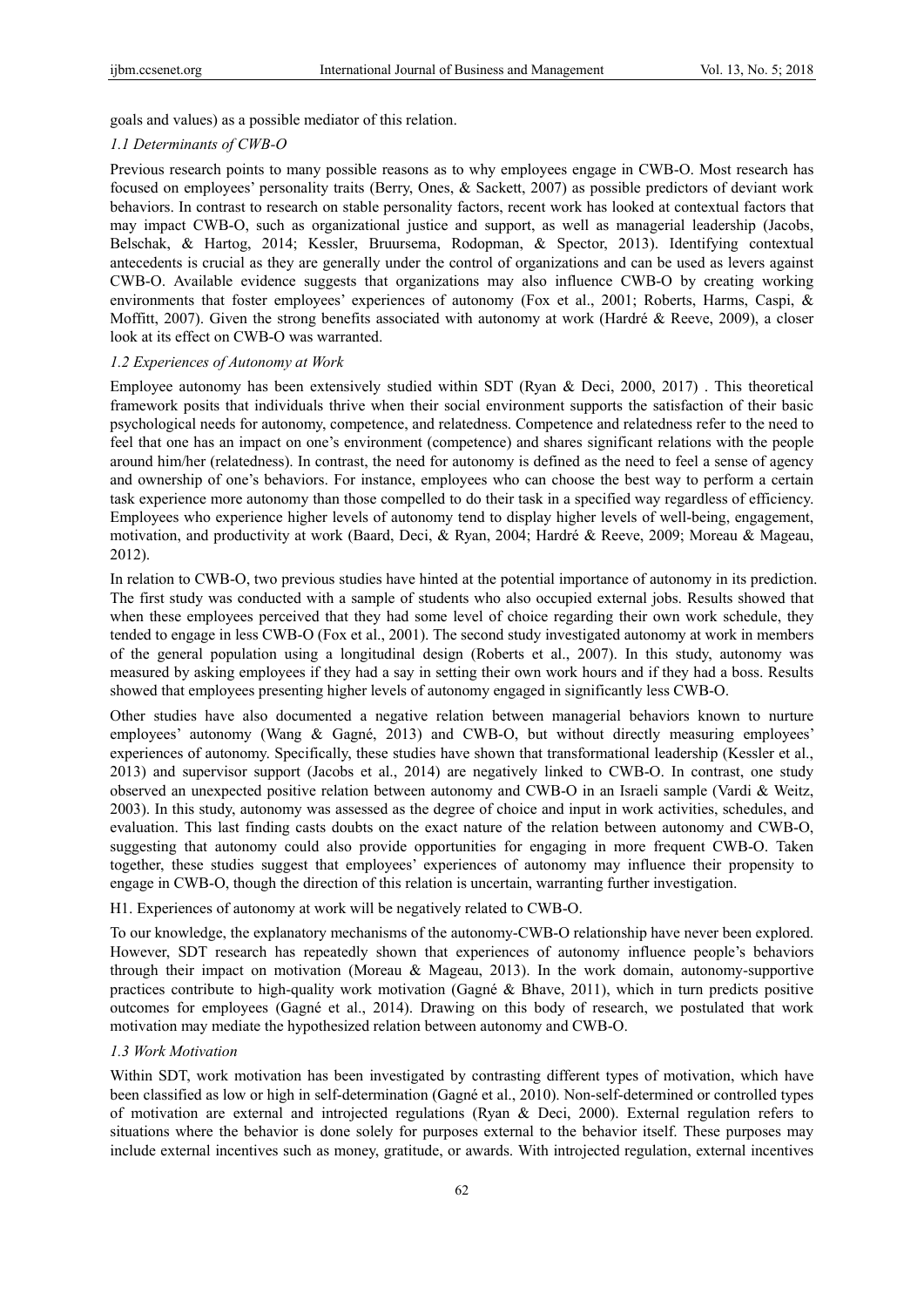goals and values) as a possible mediator of this relation.

#### *1.1 Determinants of CWB-O*

Previous research points to many possible reasons as to why employees engage in CWB-O. Most research has focused on employees' personality traits (Berry, Ones, & Sackett, 2007) as possible predictors of deviant work behaviors. In contrast to research on stable personality factors, recent work has looked at contextual factors that may impact CWB-O, such as organizational justice and support, as well as managerial leadership (Jacobs, Belschak, & Hartog, 2014; Kessler, Bruursema, Rodopman, & Spector, 2013). Identifying contextual antecedents is crucial as they are generally under the control of organizations and can be used as levers against CWB-O. Available evidence suggests that organizations may also influence CWB-O by creating working environments that foster employees' experiences of autonomy (Fox et al., 2001; Roberts, Harms, Caspi, & Moffitt, 2007). Given the strong benefits associated with autonomy at work (Hardré & Reeve, 2009), a closer look at its effect on CWB-O was warranted.

# *1.2 Experiences of Autonomy at Work*

Employee autonomy has been extensively studied within SDT (Ryan & Deci, 2000, 2017) . This theoretical framework posits that individuals thrive when their social environment supports the satisfaction of their basic psychological needs for autonomy, competence, and relatedness. Competence and relatedness refer to the need to feel that one has an impact on one's environment (competence) and shares significant relations with the people around him/her (relatedness). In contrast, the need for autonomy is defined as the need to feel a sense of agency and ownership of one's behaviors. For instance, employees who can choose the best way to perform a certain task experience more autonomy than those compelled to do their task in a specified way regardless of efficiency. Employees who experience higher levels of autonomy tend to display higher levels of well-being, engagement, motivation, and productivity at work (Baard, Deci, & Ryan, 2004; Hardré & Reeve, 2009; Moreau & Mageau, 2012).

In relation to CWB-O, two previous studies have hinted at the potential importance of autonomy in its prediction. The first study was conducted with a sample of students who also occupied external jobs. Results showed that when these employees perceived that they had some level of choice regarding their own work schedule, they tended to engage in less CWB-O (Fox et al., 2001). The second study investigated autonomy at work in members of the general population using a longitudinal design (Roberts et al., 2007). In this study, autonomy was measured by asking employees if they had a say in setting their own work hours and if they had a boss. Results showed that employees presenting higher levels of autonomy engaged in significantly less CWB-O.

Other studies have also documented a negative relation between managerial behaviors known to nurture employees' autonomy (Wang & Gagné, 2013) and CWB-O, but without directly measuring employees' experiences of autonomy. Specifically, these studies have shown that transformational leadership (Kessler et al., 2013) and supervisor support (Jacobs et al., 2014) are negatively linked to CWB-O. In contrast, one study observed an unexpected positive relation between autonomy and CWB-O in an Israeli sample (Vardi & Weitz, 2003). In this study, autonomy was assessed as the degree of choice and input in work activities, schedules, and evaluation. This last finding casts doubts on the exact nature of the relation between autonomy and CWB-O, suggesting that autonomy could also provide opportunities for engaging in more frequent CWB-O. Taken together, these studies suggest that employees' experiences of autonomy may influence their propensity to engage in CWB-O, though the direction of this relation is uncertain, warranting further investigation.

# H1. Experiences of autonomy at work will be negatively related to CWB-O.

To our knowledge, the explanatory mechanisms of the autonomy-CWB-O relationship have never been explored. However, SDT research has repeatedly shown that experiences of autonomy influence people's behaviors through their impact on motivation (Moreau & Mageau, 2013). In the work domain, autonomy-supportive practices contribute to high-quality work motivation (Gagné & Bhave, 2011), which in turn predicts positive outcomes for employees (Gagné et al., 2014). Drawing on this body of research, we postulated that work motivation may mediate the hypothesized relation between autonomy and CWB-O.

## *1.3 Work Motivation*

Within SDT, work motivation has been investigated by contrasting different types of motivation, which have been classified as low or high in self-determination (Gagné et al., 2010). Non-self-determined or controlled types of motivation are external and introjected regulations (Ryan & Deci, 2000). External regulation refers to situations where the behavior is done solely for purposes external to the behavior itself. These purposes may include external incentives such as money, gratitude, or awards. With introjected regulation, external incentives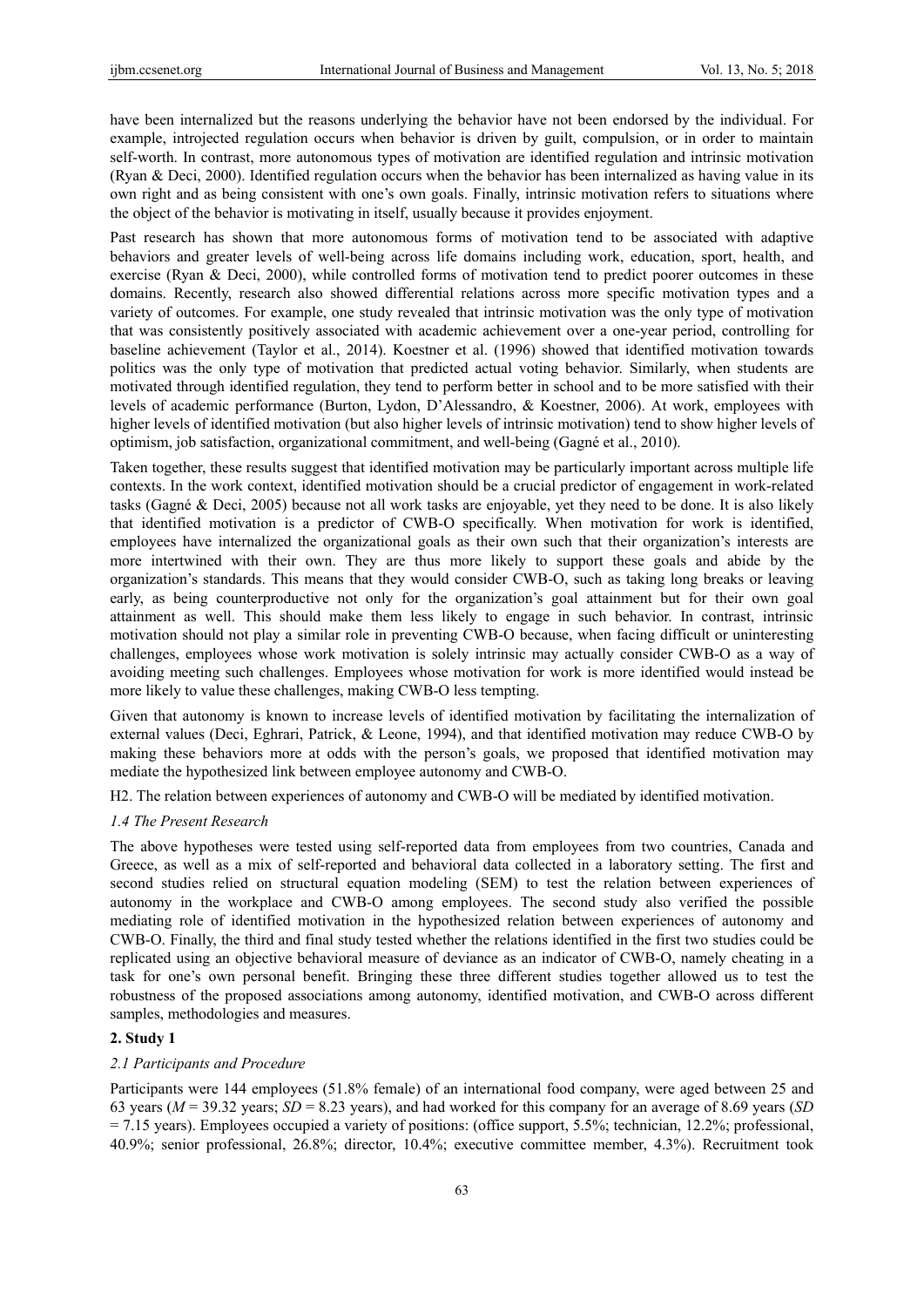have been internalized but the reasons underlying the behavior have not been endorsed by the individual. For example, introjected regulation occurs when behavior is driven by guilt, compulsion, or in order to maintain self-worth. In contrast, more autonomous types of motivation are identified regulation and intrinsic motivation (Ryan & Deci, 2000). Identified regulation occurs when the behavior has been internalized as having value in its own right and as being consistent with one's own goals. Finally, intrinsic motivation refers to situations where the object of the behavior is motivating in itself, usually because it provides enjoyment.

Past research has shown that more autonomous forms of motivation tend to be associated with adaptive behaviors and greater levels of well-being across life domains including work, education, sport, health, and exercise (Ryan & Deci, 2000), while controlled forms of motivation tend to predict poorer outcomes in these domains. Recently, research also showed differential relations across more specific motivation types and a variety of outcomes. For example, one study revealed that intrinsic motivation was the only type of motivation that was consistently positively associated with academic achievement over a one-year period, controlling for baseline achievement (Taylor et al., 2014). Koestner et al. (1996) showed that identified motivation towards politics was the only type of motivation that predicted actual voting behavior. Similarly, when students are motivated through identified regulation, they tend to perform better in school and to be more satisfied with their levels of academic performance (Burton, Lydon, D'Alessandro, & Koestner, 2006). At work, employees with higher levels of identified motivation (but also higher levels of intrinsic motivation) tend to show higher levels of optimism, job satisfaction, organizational commitment, and well-being (Gagné et al., 2010).

Taken together, these results suggest that identified motivation may be particularly important across multiple life contexts. In the work context, identified motivation should be a crucial predictor of engagement in work-related tasks (Gagné & Deci, 2005) because not all work tasks are enjoyable, yet they need to be done. It is also likely that identified motivation is a predictor of CWB-O specifically. When motivation for work is identified, employees have internalized the organizational goals as their own such that their organization's interests are more intertwined with their own. They are thus more likely to support these goals and abide by the organization's standards. This means that they would consider CWB-O, such as taking long breaks or leaving early, as being counterproductive not only for the organization's goal attainment but for their own goal attainment as well. This should make them less likely to engage in such behavior. In contrast, intrinsic motivation should not play a similar role in preventing CWB-O because, when facing difficult or uninteresting challenges, employees whose work motivation is solely intrinsic may actually consider CWB-O as a way of avoiding meeting such challenges. Employees whose motivation for work is more identified would instead be more likely to value these challenges, making CWB-O less tempting.

Given that autonomy is known to increase levels of identified motivation by facilitating the internalization of external values (Deci, Eghrari, Patrick, & Leone, 1994), and that identified motivation may reduce CWB-O by making these behaviors more at odds with the person's goals, we proposed that identified motivation may mediate the hypothesized link between employee autonomy and CWB-O.

H2. The relation between experiences of autonomy and CWB-O will be mediated by identified motivation.

# *1.4 The Present Research*

The above hypotheses were tested using self-reported data from employees from two countries, Canada and Greece, as well as a mix of self-reported and behavioral data collected in a laboratory setting. The first and second studies relied on structural equation modeling (SEM) to test the relation between experiences of autonomy in the workplace and CWB-O among employees. The second study also verified the possible mediating role of identified motivation in the hypothesized relation between experiences of autonomy and CWB-O. Finally, the third and final study tested whether the relations identified in the first two studies could be replicated using an objective behavioral measure of deviance as an indicator of CWB-O, namely cheating in a task for one's own personal benefit. Bringing these three different studies together allowed us to test the robustness of the proposed associations among autonomy, identified motivation, and CWB-O across different samples, methodologies and measures.

#### **2. Study 1**

# *2.1 Participants and Procedure*

Participants were 144 employees (51.8% female) of an international food company, were aged between 25 and 63 years (*M* = 39.32 years; *SD* = 8.23 years), and had worked for this company for an average of 8.69 years (*SD* = 7.15 years). Employees occupied a variety of positions: (office support, 5.5%; technician, 12.2%; professional, 40.9%; senior professional, 26.8%; director, 10.4%; executive committee member, 4.3%). Recruitment took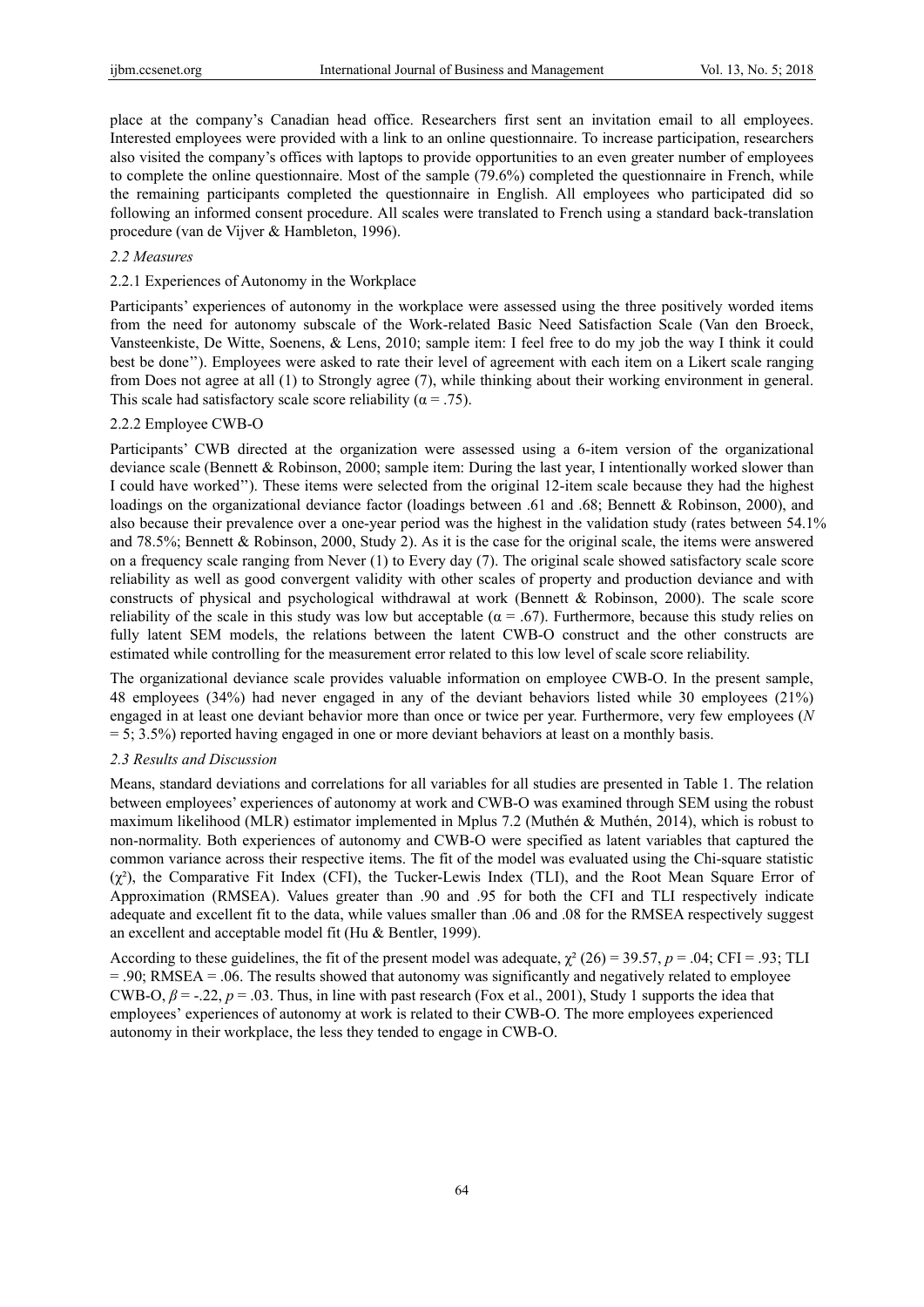place at the company's Canadian head office. Researchers first sent an invitation email to all employees. Interested employees were provided with a link to an online questionnaire. To increase participation, researchers also visited the company's offices with laptops to provide opportunities to an even greater number of employees to complete the online questionnaire. Most of the sample (79.6%) completed the questionnaire in French, while the remaining participants completed the questionnaire in English. All employees who participated did so following an informed consent procedure. All scales were translated to French using a standard back-translation procedure (van de Vijver & Hambleton, 1996).

## *2.2 Measures*

# 2.2.1 Experiences of Autonomy in the Workplace

Participants' experiences of autonomy in the workplace were assessed using the three positively worded items from the need for autonomy subscale of the Work-related Basic Need Satisfaction Scale (Van den Broeck, Vansteenkiste, De Witte, Soenens, & Lens, 2010; sample item: I feel free to do my job the way I think it could best be done''). Employees were asked to rate their level of agreement with each item on a Likert scale ranging from Does not agree at all (1) to Strongly agree (7), while thinking about their working environment in general. This scale had satisfactory scale score reliability ( $\alpha = .75$ ).

#### 2.2.2 Employee CWB-O

Participants' CWB directed at the organization were assessed using a 6-item version of the organizational deviance scale (Bennett & Robinson, 2000; sample item: During the last year, I intentionally worked slower than I could have worked''). These items were selected from the original 12-item scale because they had the highest loadings on the organizational deviance factor (loadings between .61 and .68; Bennett & Robinson, 2000), and also because their prevalence over a one-year period was the highest in the validation study (rates between 54.1% and 78.5%; Bennett & Robinson, 2000, Study 2). As it is the case for the original scale, the items were answered on a frequency scale ranging from Never (1) to Every day (7). The original scale showed satisfactory scale score reliability as well as good convergent validity with other scales of property and production deviance and with constructs of physical and psychological withdrawal at work (Bennett & Robinson, 2000). The scale score reliability of the scale in this study was low but acceptable ( $\alpha = .67$ ). Furthermore, because this study relies on fully latent SEM models, the relations between the latent CWB-O construct and the other constructs are estimated while controlling for the measurement error related to this low level of scale score reliability.

The organizational deviance scale provides valuable information on employee CWB-O. In the present sample, 48 employees (34%) had never engaged in any of the deviant behaviors listed while 30 employees (21%) engaged in at least one deviant behavior more than once or twice per year. Furthermore, very few employees (*N*  $= 5$ ; 3.5%) reported having engaged in one or more deviant behaviors at least on a monthly basis.

#### *2.3 Results and Discussion*

Means, standard deviations and correlations for all variables for all studies are presented in Table 1. The relation between employees' experiences of autonomy at work and CWB-O was examined through SEM using the robust maximum likelihood (MLR) estimator implemented in Mplus 7.2 (Muthén & Muthén, 2014), which is robust to non-normality. Both experiences of autonomy and CWB-O were specified as latent variables that captured the common variance across their respective items. The fit of the model was evaluated using the Chi-square statistic  $(\chi^2)$ , the Comparative Fit Index (CFI), the Tucker-Lewis Index (TLI), and the Root Mean Square Error of Approximation (RMSEA). Values greater than .90 and .95 for both the CFI and TLI respectively indicate adequate and excellent fit to the data, while values smaller than .06 and .08 for the RMSEA respectively suggest an excellent and acceptable model fit (Hu & Bentler, 1999).

According to these guidelines, the fit of the present model was adequate,  $\chi^2$  (26) = 39.57, *p* = .04; CFI = .93; TLI  $= 0.90$ ; RMSEA  $= 0.06$ . The results showed that autonomy was significantly and negatively related to employee CWB-O,  $\beta$  = -.22,  $p = .03$ . Thus, in line with past research (Fox et al., 2001), Study 1 supports the idea that employees' experiences of autonomy at work is related to their CWB-O. The more employees experienced autonomy in their workplace, the less they tended to engage in CWB-O.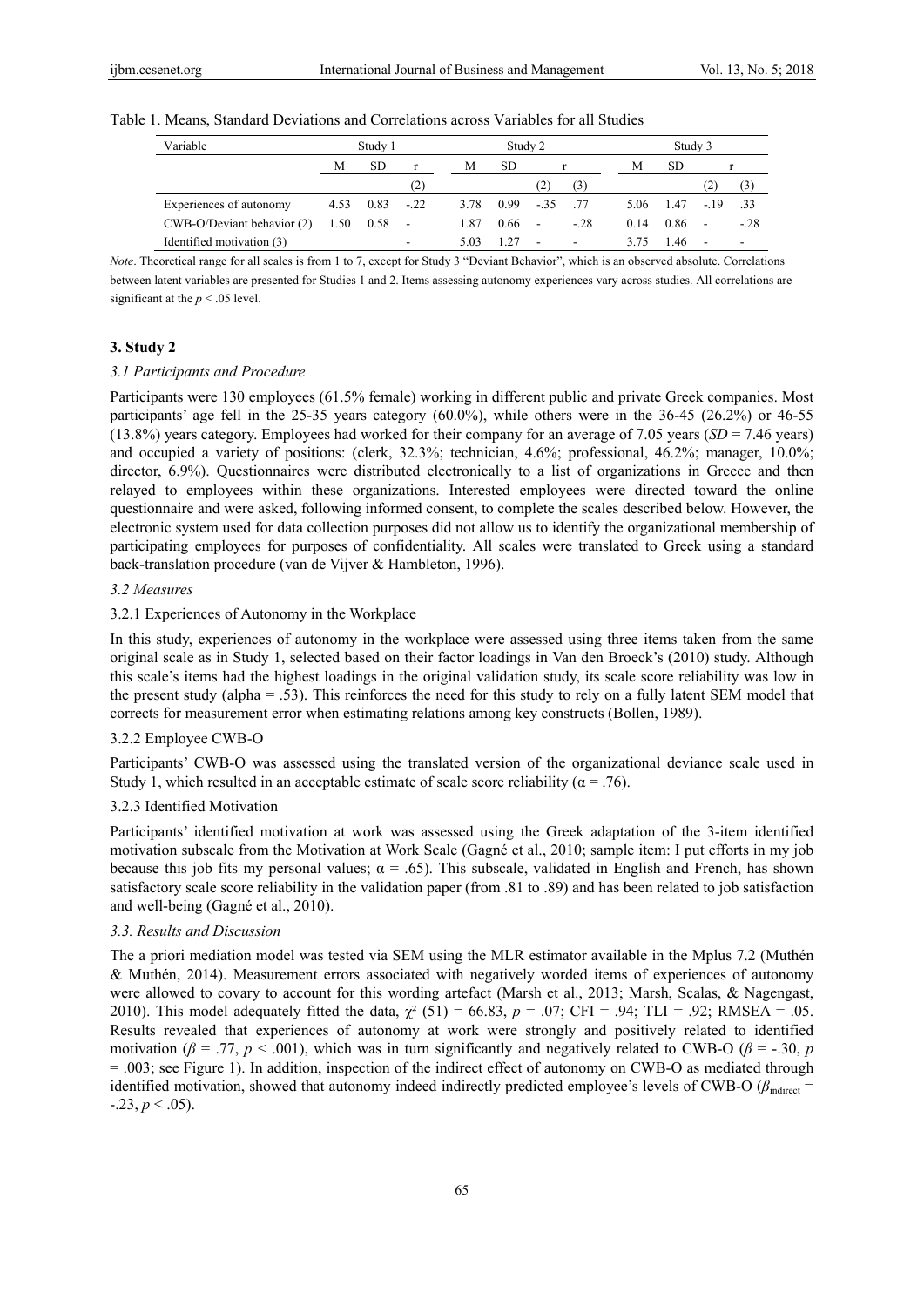|  |  |  | Table 1. Means, Standard Deviations and Correlations across Variables for all Studies |  |  |
|--|--|--|---------------------------------------------------------------------------------------|--|--|
|--|--|--|---------------------------------------------------------------------------------------|--|--|

| Variable                   |   | Study 1                 |              |      | Study 2  |             |        |      | Study 3     |            |        |  |
|----------------------------|---|-------------------------|--------------|------|----------|-------------|--------|------|-------------|------------|--------|--|
|                            | М | SD.                     | $\mathbf{r}$ | М    | SD       |             |        | М    | SD.         |            |        |  |
|                            |   |                         | (2)          |      |          | (2)         | (3)    |      |             |            | (3)    |  |
| Experiences of autonomy    |   | $4.53 \t 0.83 \t -0.22$ |              | 3.78 |          | $0.99 - 35$ | .77    | 5.06 | $1.47 - 19$ |            | -33    |  |
| CWB-O/Deviant behavior (2) |   | $1.50 \t 0.58$ -        |              | 1.87 | $0.66 -$ |             | $-.28$ | 0.14 | 0.86        | $\sim$ $-$ | $-.28$ |  |
| Identified motivation (3)  |   |                         | -            | 5.03 |          | $\sim$      | -      | 3.75 | 1.46        |            |        |  |

*Note*. Theoretical range for all scales is from 1 to 7, except for Study 3 "Deviant Behavior", which is an observed absolute. Correlations between latent variables are presented for Studies 1 and 2. Items assessing autonomy experiences vary across studies. All correlations are significant at the  $p < .05$  level.

# **3. Study 2**

#### *3.1 Participants and Procedure*

Participants were 130 employees (61.5% female) working in different public and private Greek companies. Most participants' age fell in the 25-35 years category (60.0%), while others were in the 36-45 (26.2%) or 46-55 (13.8%) years category. Employees had worked for their company for an average of 7.05 years (*SD* = 7.46 years) and occupied a variety of positions: (clerk, 32.3%; technician, 4.6%; professional, 46.2%; manager, 10.0%; director, 6.9%). Questionnaires were distributed electronically to a list of organizations in Greece and then relayed to employees within these organizations. Interested employees were directed toward the online questionnaire and were asked, following informed consent, to complete the scales described below. However, the electronic system used for data collection purposes did not allow us to identify the organizational membership of participating employees for purposes of confidentiality. All scales were translated to Greek using a standard back-translation procedure (van de Vijver & Hambleton, 1996).

#### *3.2 Measures*

#### 3.2.1 Experiences of Autonomy in the Workplace

In this study, experiences of autonomy in the workplace were assessed using three items taken from the same original scale as in Study 1, selected based on their factor loadings in Van den Broeck's (2010) study. Although this scale's items had the highest loadings in the original validation study, its scale score reliability was low in the present study (alpha = .53). This reinforces the need for this study to rely on a fully latent SEM model that corrects for measurement error when estimating relations among key constructs (Bollen, 1989).

#### 3.2.2 Employee CWB-O

Participants' CWB-O was assessed using the translated version of the organizational deviance scale used in Study 1, which resulted in an acceptable estimate of scale score reliability ( $\alpha$  = .76).

# 3.2.3 Identified Motivation

Participants' identified motivation at work was assessed using the Greek adaptation of the 3-item identified motivation subscale from the Motivation at Work Scale (Gagné et al., 2010; sample item: I put efforts in my job because this job fits my personal values;  $\alpha = .65$ ). This subscale, validated in English and French, has shown satisfactory scale score reliability in the validation paper (from .81 to .89) and has been related to job satisfaction and well-being (Gagné et al., 2010).

# *3.3. Results and Discussion*

The a priori mediation model was tested via SEM using the MLR estimator available in the Mplus 7.2 (Muthén & Muthén, 2014). Measurement errors associated with negatively worded items of experiences of autonomy were allowed to covary to account for this wording artefact (Marsh et al., 2013; Marsh, Scalas, & Nagengast, 2010). This model adequately fitted the data,  $\chi^2$  (51) = 66.83, *p* = .07; CFI = .94; TLI = .92; RMSEA = .05. Results revealed that experiences of autonomy at work were strongly and positively related to identified motivation ( $\beta$  = .77,  $p$  < .001), which was in turn significantly and negatively related to CWB-O ( $\beta$  = -.30, *p* = .003; see Figure 1). In addition, inspection of the indirect effect of autonomy on CWB-O as mediated through identified motivation, showed that autonomy indeed indirectly predicted employee's levels of CWB-O (β<sub>indirect</sub> =  $-23, p \leq 0.05$ .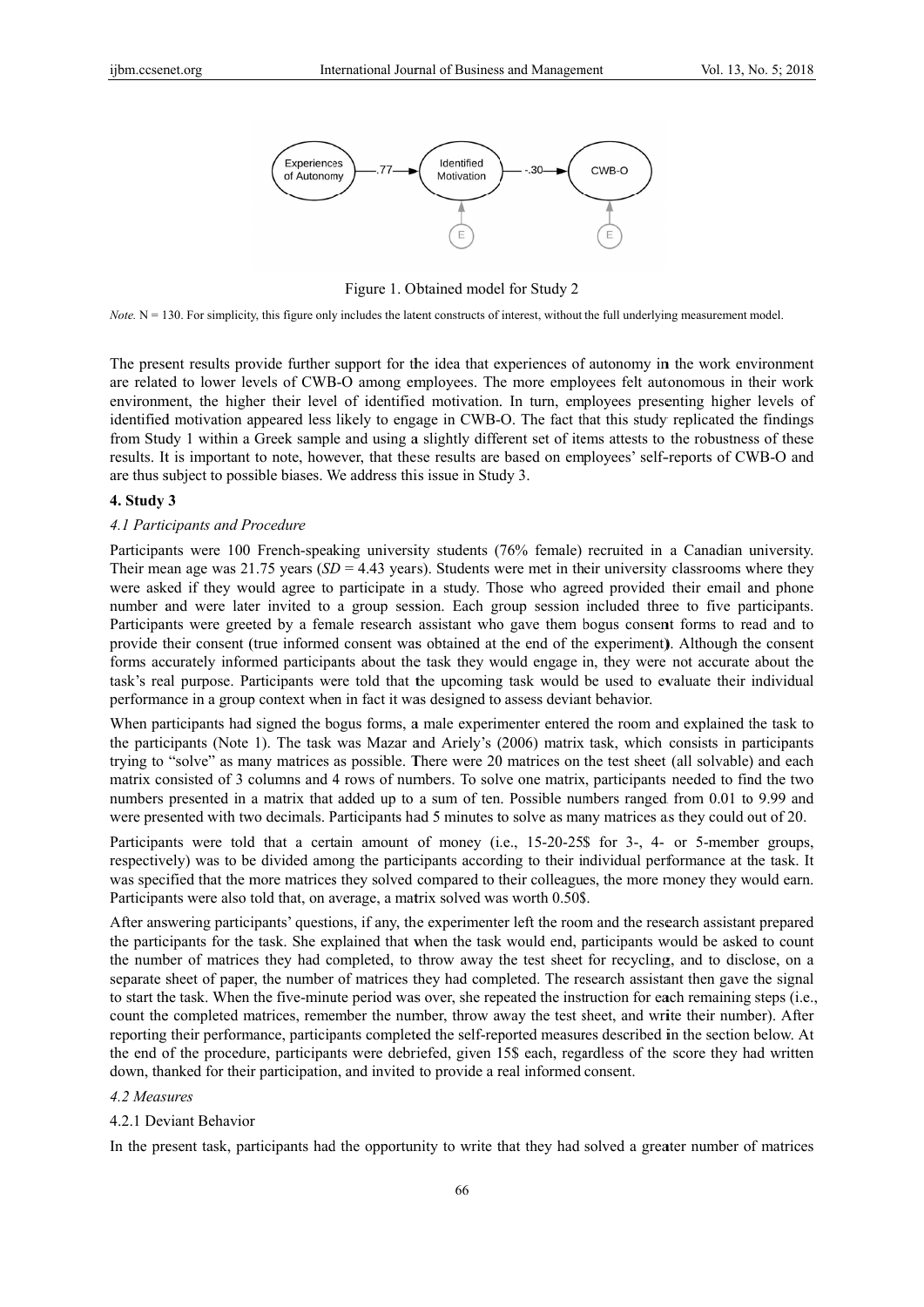

Figure 1. Ob btained mode l for Study 2

*Note*. N = 130. For simplicity, this figure only includes the latent constructs of interest, without the full underlying measurement model.

The present results provide further support for the idea that experiences of autonomy in the work environment are related to lower levels of CWB-O among employees. The more employees felt autonomous in their work environment, the higher their level of identified motivation. In turn, employees presenting higher levels of identified motivation appeared less likely to engage in CWB-O. The fact that this study replicated the findings from Study 1 within a Greek sample and using a slightly different set of items attests to the robustness of these results. It is important to note, however, that these results are based on employees' self-reports of CWB-O and are thus subject to possible biases. We address this issue in Study 3.

#### **4. Study 3**

#### *4.1 Partic cipants and P Procedure*

Participants were 100 French-speaking university students (76% female) recruited in a Canadian university. Their mean age was 21.75 years ( $SD = 4.43$  years). Students were met in their university classrooms where they were asked if they would agree to participate in a study. Those who agreed provided their email and phone number and were later invited to a group session. Each group session included three to five participants. Participants were greeted by a female research assistant who gave them bogus consent forms to read and to provide their consent (true informed consent was obtained at the end of the experiment). Although the consent forms accurately informed participants about the task they would engage in, they were not accurate about the task's real purpose. Participants were told that the upcoming task would be used to evaluate their individual performance in a group context when in fact it was designed to assess deviant behavior.

When participants had signed the bogus forms, a male experimenter entered the room and explained the task to the participants (Note 1). The task was Mazar and Ariely's (2006) matrix task, which consists in participants trying to "solve" as many matrices as possible. There were 20 matrices on the test sheet (all solvable) and each matrix consisted of 3 columns and 4 rows of numbers. To solve one matrix, participants needed to find the two numbers presented in a matrix that added up to a sum of ten. Possible numbers ranged from 0.01 to 9.99 and were presented with two decimals. Participants had 5 minutes to solve as many matrices as they could out of 20.

Participants were told that a certain amount of money (i.e., 15-20-25\$ for 3-, 4- or 5-member groups, respectively) was to be divided among the participants according to their individual performance at the task. It was specified that the more matrices they solved compared to their colleagues, the more money they would earn. Participants were also told that, on average, a matrix solved was worth 0.50\$.

After answering participants' questions, if any, the experimenter left the room and the research assistant prepared the participants for the task. She explained that when the task would end, participants would be asked to count the number of matrices they had completed, to throw away the test sheet for recycling, and to disclose, on a separate sheet of paper, the number of matrices they had completed. The research assistant then gave the signal to start the task. When the five-minute period was over, she repeated the instruction for each remaining steps (i.e., count the completed matrices, remember the number, throw away the test sheet, and write their number). After reporting their performance, participants completed the self-reported measures described in the section below. At the end of the procedure, participants were debriefed, given 15\$ each, regardless of the score they had written down, thanked for their participation, and invited to provide a real informed consent.

# *4.2 Meas ures*

# 4.2.1 Deviant Behavior

4.2.1 Deviant Behavior<br>In the present task, participants had the opportunity to write that they had solved a greater number of matrices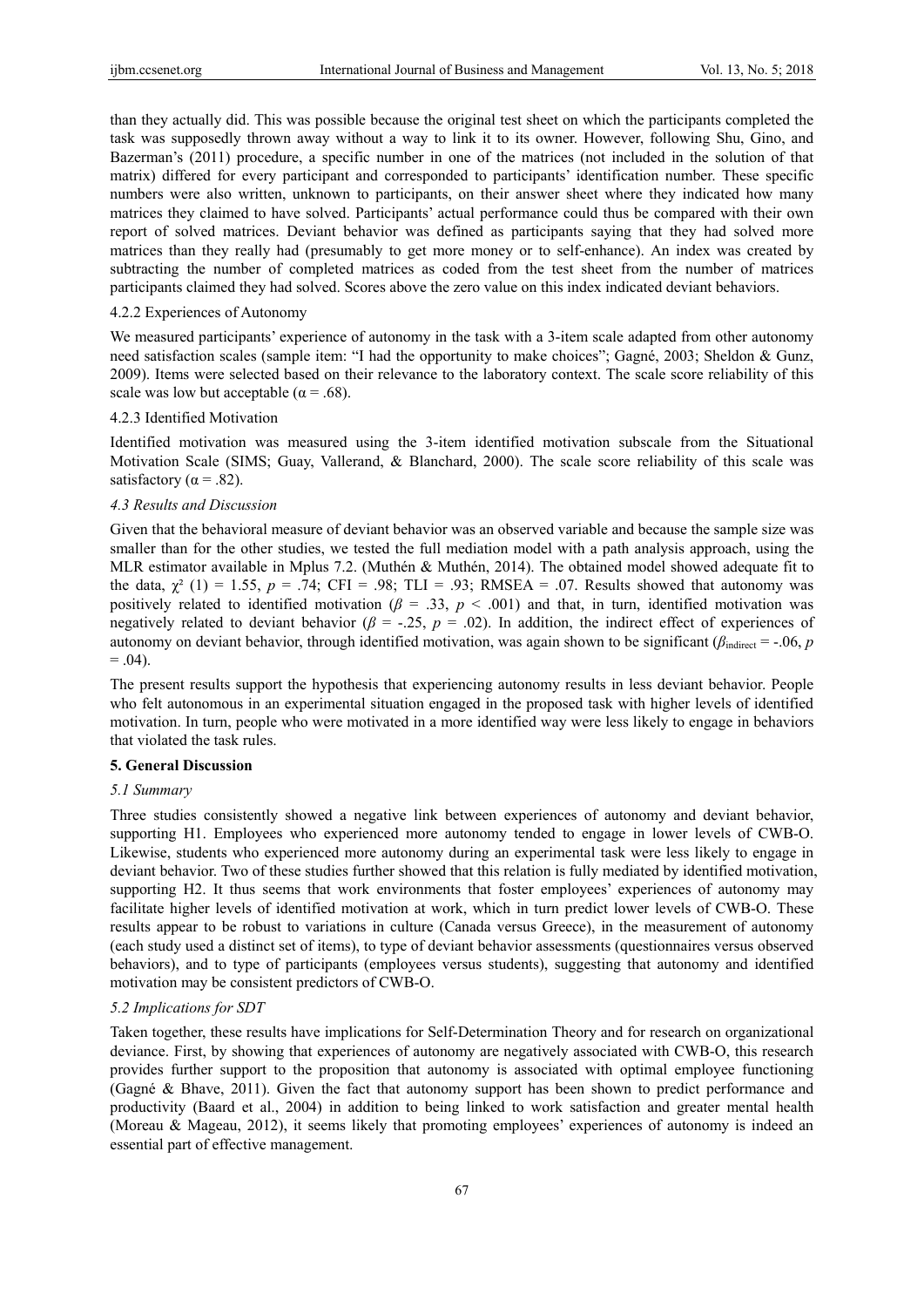than they actually did. This was possible because the original test sheet on which the participants completed the task was supposedly thrown away without a way to link it to its owner. However, following Shu, Gino, and Bazerman's (2011) procedure, a specific number in one of the matrices (not included in the solution of that matrix) differed for every participant and corresponded to participants' identification number. These specific numbers were also written, unknown to participants, on their answer sheet where they indicated how many matrices they claimed to have solved. Participants' actual performance could thus be compared with their own report of solved matrices. Deviant behavior was defined as participants saying that they had solved more matrices than they really had (presumably to get more money or to self-enhance). An index was created by subtracting the number of completed matrices as coded from the test sheet from the number of matrices participants claimed they had solved. Scores above the zero value on this index indicated deviant behaviors.

## 4.2.2 Experiences of Autonomy

We measured participants' experience of autonomy in the task with a 3-item scale adapted from other autonomy need satisfaction scales (sample item: "I had the opportunity to make choices"; Gagné, 2003; Sheldon & Gunz, 2009). Items were selected based on their relevance to the laboratory context. The scale score reliability of this scale was low but acceptable ( $\alpha = .68$ ).

#### 4.2.3 Identified Motivation

Identified motivation was measured using the 3-item identified motivation subscale from the Situational Motivation Scale (SIMS; Guay, Vallerand, & Blanchard, 2000). The scale score reliability of this scale was satisfactory ( $\alpha$  = .82).

# *4.3 Results and Discussion*

Given that the behavioral measure of deviant behavior was an observed variable and because the sample size was smaller than for the other studies, we tested the full mediation model with a path analysis approach, using the MLR estimator available in Mplus 7.2. (Muthén & Muthén, 2014). The obtained model showed adequate fit to the data,  $\chi^2$  (1) = 1.55, *p* = .74; CFI = .98; TLI = .93; RMSEA = .07. Results showed that autonomy was positively related to identified motivation ( $\beta$  = .33,  $p$  < .001) and that, in turn, identified motivation was negatively related to deviant behavior ( $\beta$  = -.25,  $p$  = .02). In addition, the indirect effect of experiences of autonomy on deviant behavior, through identified motivation, was again shown to be significant  $(\beta_{indirect} = -0.06, p)$  $= .04$ ).

The present results support the hypothesis that experiencing autonomy results in less deviant behavior. People who felt autonomous in an experimental situation engaged in the proposed task with higher levels of identified motivation. In turn, people who were motivated in a more identified way were less likely to engage in behaviors that violated the task rules.

#### **5. General Discussion**

# *5.1 Summary*

Three studies consistently showed a negative link between experiences of autonomy and deviant behavior, supporting H1. Employees who experienced more autonomy tended to engage in lower levels of CWB-O. Likewise, students who experienced more autonomy during an experimental task were less likely to engage in deviant behavior. Two of these studies further showed that this relation is fully mediated by identified motivation, supporting H2. It thus seems that work environments that foster employees' experiences of autonomy may facilitate higher levels of identified motivation at work, which in turn predict lower levels of CWB-O. These results appear to be robust to variations in culture (Canada versus Greece), in the measurement of autonomy (each study used a distinct set of items), to type of deviant behavior assessments (questionnaires versus observed behaviors), and to type of participants (employees versus students), suggesting that autonomy and identified motivation may be consistent predictors of CWB-O.

# *5.2 Implications for SDT*

Taken together, these results have implications for Self-Determination Theory and for research on organizational deviance. First, by showing that experiences of autonomy are negatively associated with CWB-O, this research provides further support to the proposition that autonomy is associated with optimal employee functioning (Gagné & Bhave, 2011). Given the fact that autonomy support has been shown to predict performance and productivity (Baard et al., 2004) in addition to being linked to work satisfaction and greater mental health (Moreau & Mageau, 2012), it seems likely that promoting employees' experiences of autonomy is indeed an essential part of effective management.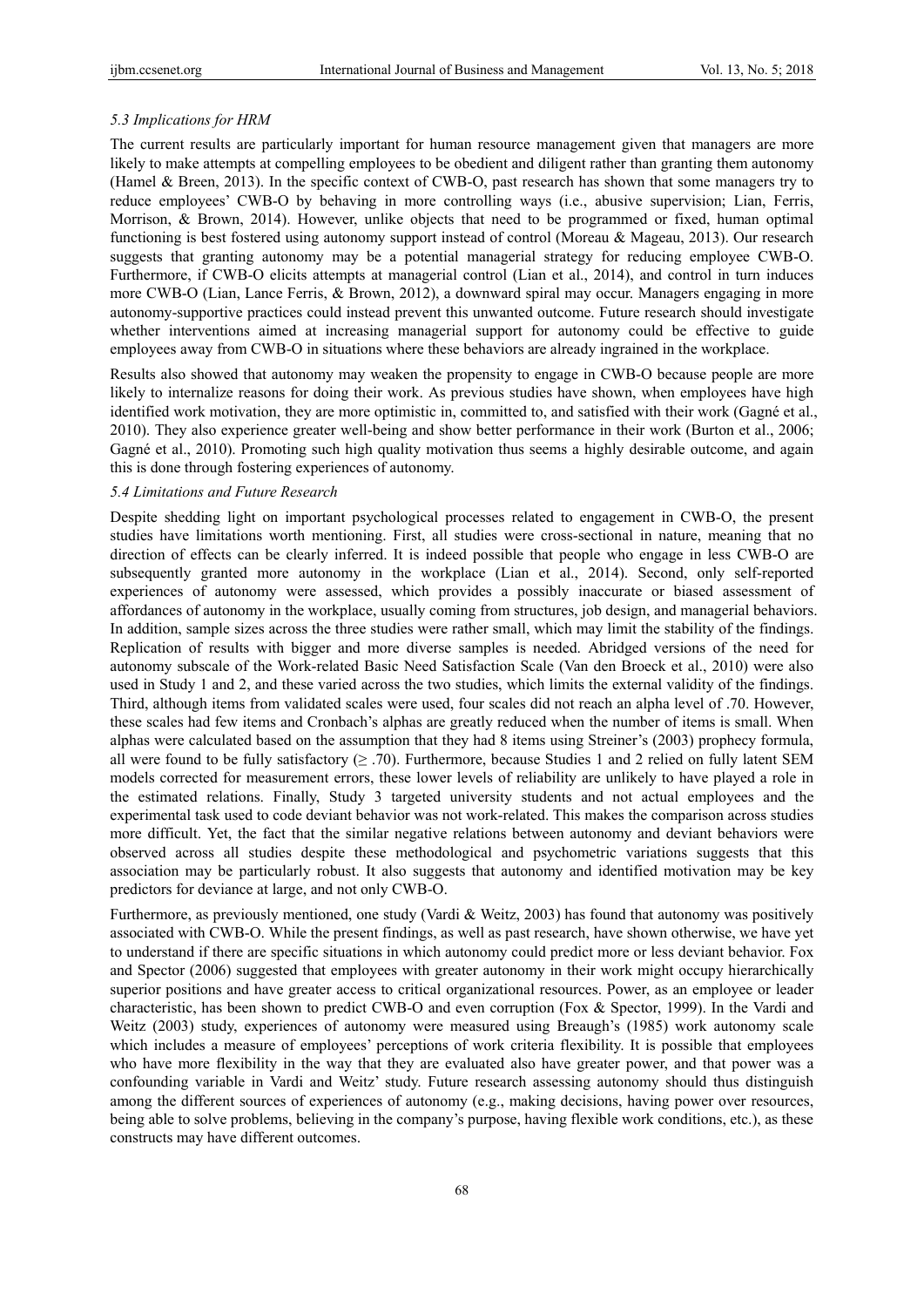#### *5.3 Implications for HRM*

The current results are particularly important for human resource management given that managers are more likely to make attempts at compelling employees to be obedient and diligent rather than granting them autonomy (Hamel & Breen, 2013). In the specific context of CWB-O, past research has shown that some managers try to reduce employees' CWB-O by behaving in more controlling ways (i.e., abusive supervision; Lian, Ferris, Morrison, & Brown, 2014). However, unlike objects that need to be programmed or fixed, human optimal functioning is best fostered using autonomy support instead of control (Moreau & Mageau, 2013). Our research suggests that granting autonomy may be a potential managerial strategy for reducing employee CWB-O. Furthermore, if CWB-O elicits attempts at managerial control (Lian et al., 2014), and control in turn induces more CWB-O (Lian, Lance Ferris, & Brown, 2012), a downward spiral may occur. Managers engaging in more autonomy-supportive practices could instead prevent this unwanted outcome. Future research should investigate whether interventions aimed at increasing managerial support for autonomy could be effective to guide employees away from CWB-O in situations where these behaviors are already ingrained in the workplace.

Results also showed that autonomy may weaken the propensity to engage in CWB-O because people are more likely to internalize reasons for doing their work. As previous studies have shown, when employees have high identified work motivation, they are more optimistic in, committed to, and satisfied with their work (Gagné et al., 2010). They also experience greater well-being and show better performance in their work (Burton et al., 2006; Gagné et al., 2010). Promoting such high quality motivation thus seems a highly desirable outcome, and again this is done through fostering experiences of autonomy.

### *5.4 Limitations and Future Research*

Despite shedding light on important psychological processes related to engagement in CWB-O, the present studies have limitations worth mentioning. First, all studies were cross-sectional in nature, meaning that no direction of effects can be clearly inferred. It is indeed possible that people who engage in less CWB-O are subsequently granted more autonomy in the workplace (Lian et al., 2014). Second, only self-reported experiences of autonomy were assessed, which provides a possibly inaccurate or biased assessment of affordances of autonomy in the workplace, usually coming from structures, job design, and managerial behaviors. In addition, sample sizes across the three studies were rather small, which may limit the stability of the findings. Replication of results with bigger and more diverse samples is needed. Abridged versions of the need for autonomy subscale of the Work-related Basic Need Satisfaction Scale (Van den Broeck et al., 2010) were also used in Study 1 and 2, and these varied across the two studies, which limits the external validity of the findings. Third, although items from validated scales were used, four scales did not reach an alpha level of .70. However, these scales had few items and Cronbach's alphas are greatly reduced when the number of items is small. When alphas were calculated based on the assumption that they had 8 items using Streiner's (2003) prophecy formula, all were found to be fully satisfactory ( $\geq$  .70). Furthermore, because Studies 1 and 2 relied on fully latent SEM models corrected for measurement errors, these lower levels of reliability are unlikely to have played a role in the estimated relations. Finally, Study 3 targeted university students and not actual employees and the experimental task used to code deviant behavior was not work-related. This makes the comparison across studies more difficult. Yet, the fact that the similar negative relations between autonomy and deviant behaviors were observed across all studies despite these methodological and psychometric variations suggests that this association may be particularly robust. It also suggests that autonomy and identified motivation may be key predictors for deviance at large, and not only CWB-O.

Furthermore, as previously mentioned, one study (Vardi & Weitz, 2003) has found that autonomy was positively associated with CWB-O. While the present findings, as well as past research, have shown otherwise, we have yet to understand if there are specific situations in which autonomy could predict more or less deviant behavior. Fox and Spector (2006) suggested that employees with greater autonomy in their work might occupy hierarchically superior positions and have greater access to critical organizational resources. Power, as an employee or leader characteristic, has been shown to predict CWB-O and even corruption (Fox & Spector, 1999). In the Vardi and Weitz (2003) study, experiences of autonomy were measured using Breaugh's (1985) work autonomy scale which includes a measure of employees' perceptions of work criteria flexibility. It is possible that employees who have more flexibility in the way that they are evaluated also have greater power, and that power was a confounding variable in Vardi and Weitz' study. Future research assessing autonomy should thus distinguish among the different sources of experiences of autonomy (e.g., making decisions, having power over resources, being able to solve problems, believing in the company's purpose, having flexible work conditions, etc.), as these constructs may have different outcomes.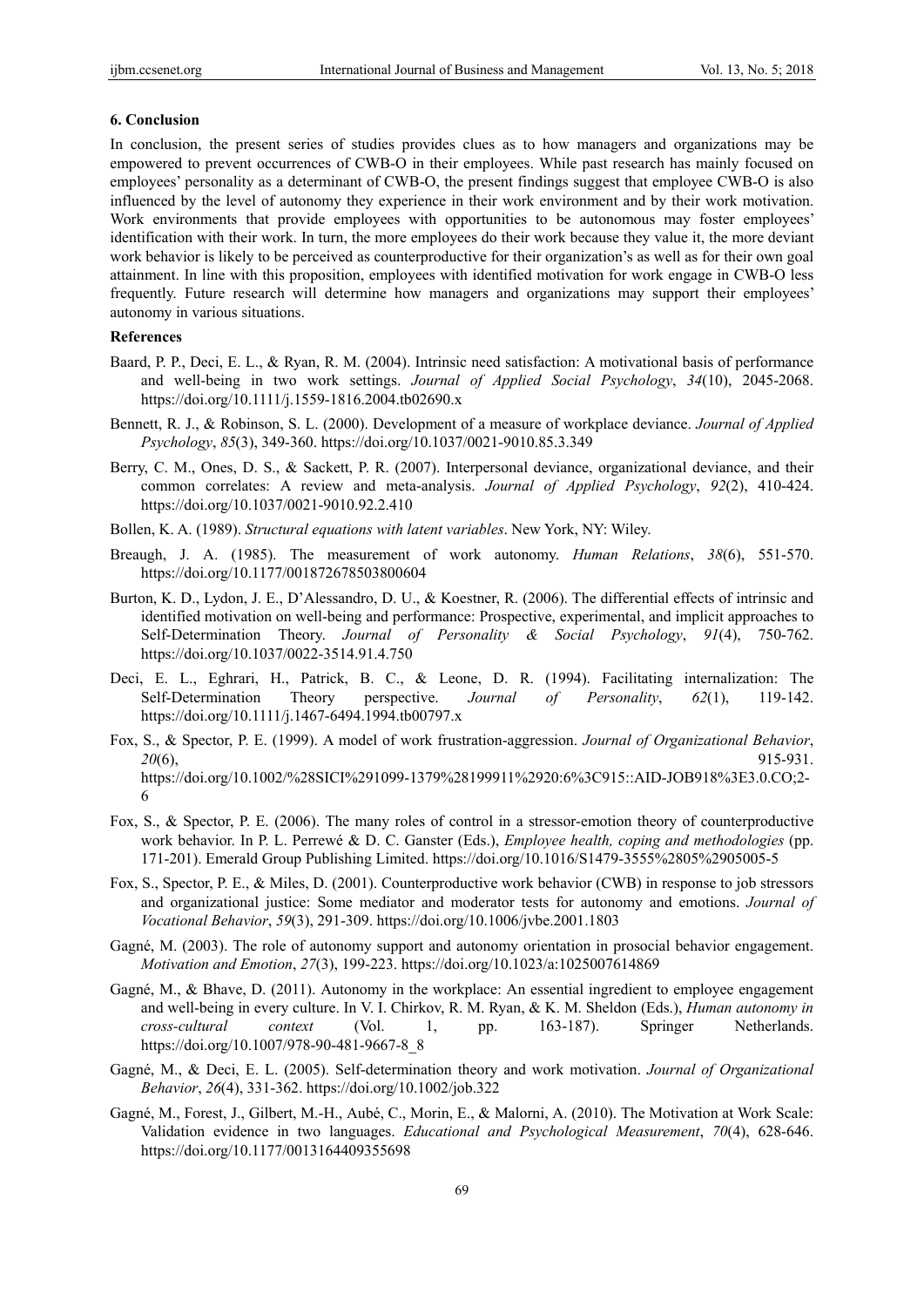# **6. Conclusion**

In conclusion, the present series of studies provides clues as to how managers and organizations may be empowered to prevent occurrences of CWB-O in their employees. While past research has mainly focused on employees' personality as a determinant of CWB-O, the present findings suggest that employee CWB-O is also influenced by the level of autonomy they experience in their work environment and by their work motivation. Work environments that provide employees with opportunities to be autonomous may foster employees' identification with their work. In turn, the more employees do their work because they value it, the more deviant work behavior is likely to be perceived as counterproductive for their organization's as well as for their own goal attainment. In line with this proposition, employees with identified motivation for work engage in CWB-O less frequently. Future research will determine how managers and organizations may support their employees' autonomy in various situations.

# **References**

- Baard, P. P., Deci, E. L., & Ryan, R. M. (2004). Intrinsic need satisfaction: A motivational basis of performance and well-being in two work settings. *Journal of Applied Social Psychology*, *34*(10), 2045-2068. https://doi.org/10.1111/j.1559-1816.2004.tb02690.x
- Bennett, R. J., & Robinson, S. L. (2000). Development of a measure of workplace deviance. *Journal of Applied Psychology*, *85*(3), 349-360. https://doi.org/10.1037/0021-9010.85.3.349
- Berry, C. M., Ones, D. S., & Sackett, P. R. (2007). Interpersonal deviance, organizational deviance, and their common correlates: A review and meta-analysis. *Journal of Applied Psychology*, *92*(2), 410-424. https://doi.org/10.1037/0021-9010.92.2.410
- Bollen, K. A. (1989). *Structural equations with latent variables*. New York, NY: Wiley.
- Breaugh, J. A. (1985). The measurement of work autonomy. *Human Relations*, *38*(6), 551-570. https://doi.org/10.1177/001872678503800604
- Burton, K. D., Lydon, J. E., D'Alessandro, D. U., & Koestner, R. (2006). The differential effects of intrinsic and identified motivation on well-being and performance: Prospective, experimental, and implicit approaches to Self-Determination Theory. *Journal of Personality & Social Psychology*, *91*(4), 750-762. https://doi.org/10.1037/0022-3514.91.4.750
- Deci, E. L., Eghrari, H., Patrick, B. C., & Leone, D. R. (1994). Facilitating internalization: The Self-Determination Theory perspective. *Journal of Personality*, *62*(1), 119-142. https://doi.org/10.1111/j.1467-6494.1994.tb00797.x
- Fox, S., & Spector, P. E. (1999). A model of work frustration-aggression. *Journal of Organizational Behavior*, *20*(6), 915-931. https://doi.org/10.1002/%28SICI%291099-1379%28199911%2920:6%3C915::AID-JOB918%3E3.0.CO;2- 6
- Fox, S., & Spector, P. E. (2006). The many roles of control in a stressor-emotion theory of counterproductive work behavior. In P. L. Perrewé & D. C. Ganster (Eds.), *Employee health, coping and methodologies* (pp. 171-201). Emerald Group Publishing Limited. https://doi.org/10.1016/S1479-3555%2805%2905005-5
- Fox, S., Spector, P. E., & Miles, D. (2001). Counterproductive work behavior (CWB) in response to job stressors and organizational justice: Some mediator and moderator tests for autonomy and emotions. *Journal of Vocational Behavior*, *59*(3), 291-309. https://doi.org/10.1006/jvbe.2001.1803
- Gagné, M. (2003). The role of autonomy support and autonomy orientation in prosocial behavior engagement. *Motivation and Emotion*, *27*(3), 199-223. https://doi.org/10.1023/a:1025007614869
- Gagné, M., & Bhave, D. (2011). Autonomy in the workplace: An essential ingredient to employee engagement and well-being in every culture. In V. I. Chirkov, R. M. Ryan, & K. M. Sheldon (Eds.), *Human autonomy in cross-cultural context* (Vol. 1, pp. 163-187). Springer Netherlands. https://doi.org/10.1007/978-90-481-9667-8\_8
- Gagné, M., & Deci, E. L. (2005). Self-determination theory and work motivation. *Journal of Organizational Behavior*, *26*(4), 331-362. https://doi.org/10.1002/job.322
- Gagné, M., Forest, J., Gilbert, M.-H., Aubé, C., Morin, E., & Malorni, A. (2010). The Motivation at Work Scale: Validation evidence in two languages. *Educational and Psychological Measurement*, *70*(4), 628-646. https://doi.org/10.1177/0013164409355698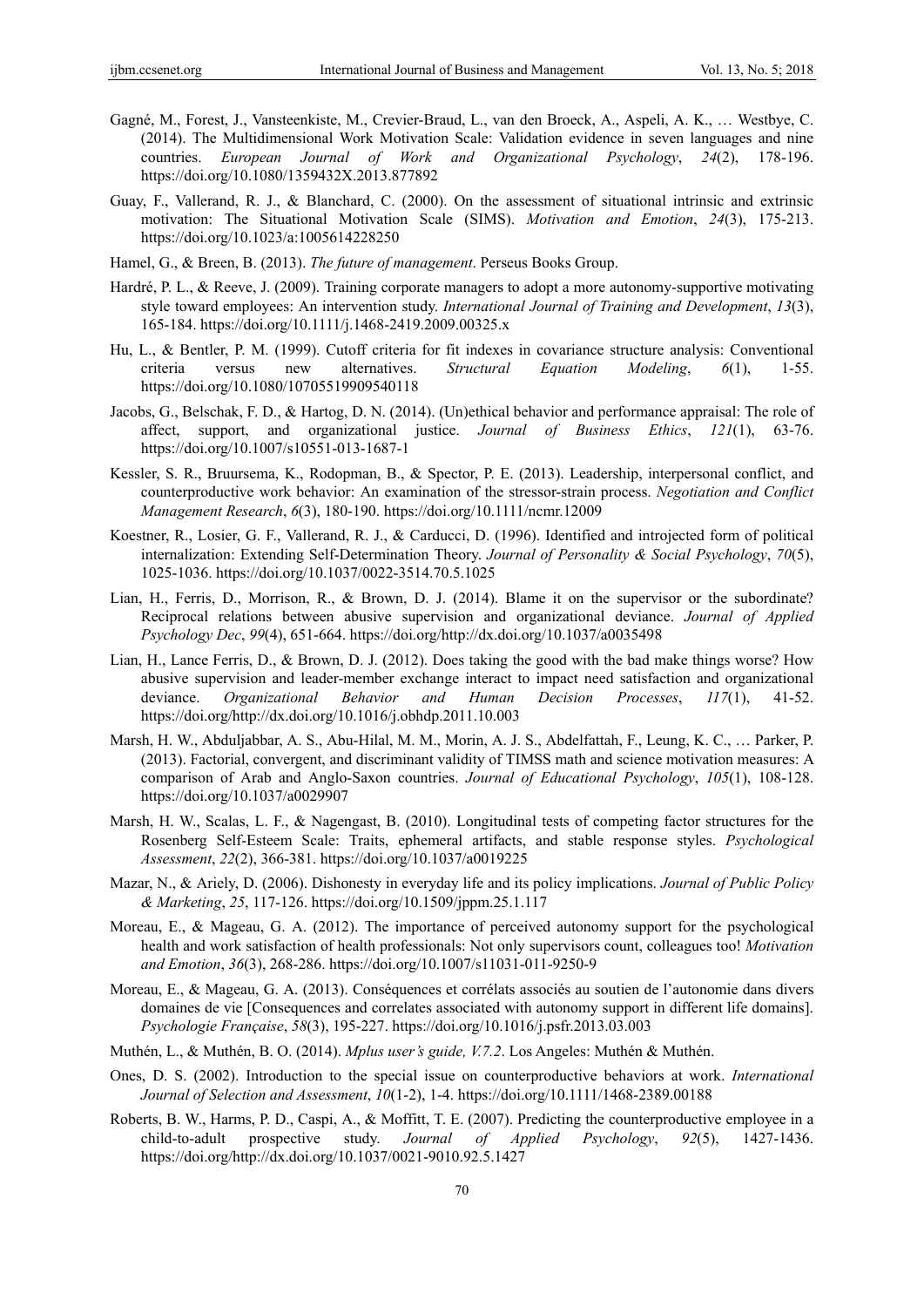- Gagné, M., Forest, J., Vansteenkiste, M., Crevier-Braud, L., van den Broeck, A., Aspeli, A. K., … Westbye, C. (2014). The Multidimensional Work Motivation Scale: Validation evidence in seven languages and nine countries. *European Journal of Work and Organizational Psychology*, *24*(2), 178-196. https://doi.org/10.1080/1359432X.2013.877892
- Guay, F., Vallerand, R. J., & Blanchard, C. (2000). On the assessment of situational intrinsic and extrinsic motivation: The Situational Motivation Scale (SIMS). *Motivation and Emotion*, *24*(3), 175-213. https://doi.org/10.1023/a:1005614228250
- Hamel, G., & Breen, B. (2013). *The future of management*. Perseus Books Group.
- Hardré, P. L., & Reeve, J. (2009). Training corporate managers to adopt a more autonomy-supportive motivating style toward employees: An intervention study. *International Journal of Training and Development*, *13*(3), 165-184. https://doi.org/10.1111/j.1468-2419.2009.00325.x
- Hu, L., & Bentler, P. M. (1999). Cutoff criteria for fit indexes in covariance structure analysis: Conventional criteria versus new alternatives. *Structural Equation Modeling*, *6*(1), 1-55. https://doi.org/10.1080/10705519909540118
- Jacobs, G., Belschak, F. D., & Hartog, D. N. (2014). (Un)ethical behavior and performance appraisal: The role of affect, support, and organizational justice. *Journal of Business Ethics*, *121*(1), 63-76. https://doi.org/10.1007/s10551-013-1687-1
- Kessler, S. R., Bruursema, K., Rodopman, B., & Spector, P. E. (2013). Leadership, interpersonal conflict, and counterproductive work behavior: An examination of the stressor-strain process. *Negotiation and Conflict Management Research*, *6*(3), 180-190. https://doi.org/10.1111/ncmr.12009
- Koestner, R., Losier, G. F., Vallerand, R. J., & Carducci, D. (1996). Identified and introjected form of political internalization: Extending Self-Determination Theory. *Journal of Personality & Social Psychology*, *70*(5), 1025-1036. https://doi.org/10.1037/0022-3514.70.5.1025
- Lian, H., Ferris, D., Morrison, R., & Brown, D. J. (2014). Blame it on the supervisor or the subordinate? Reciprocal relations between abusive supervision and organizational deviance. *Journal of Applied Psychology Dec*, *99*(4), 651-664. https://doi.org/http://dx.doi.org/10.1037/a0035498
- Lian, H., Lance Ferris, D., & Brown, D. J. (2012). Does taking the good with the bad make things worse? How abusive supervision and leader-member exchange interact to impact need satisfaction and organizational deviance. *Organizational Behavior and Human Decision Processes*, *117*(1), 41-52. https://doi.org/http://dx.doi.org/10.1016/j.obhdp.2011.10.003
- Marsh, H. W., Abduljabbar, A. S., Abu-Hilal, M. M., Morin, A. J. S., Abdelfattah, F., Leung, K. C., … Parker, P. (2013). Factorial, convergent, and discriminant validity of TIMSS math and science motivation measures: A comparison of Arab and Anglo-Saxon countries. *Journal of Educational Psychology*, *105*(1), 108-128. https://doi.org/10.1037/a0029907
- Marsh, H. W., Scalas, L. F., & Nagengast, B. (2010). Longitudinal tests of competing factor structures for the Rosenberg Self-Esteem Scale: Traits, ephemeral artifacts, and stable response styles. *Psychological Assessment*, *22*(2), 366-381. https://doi.org/10.1037/a0019225
- Mazar, N., & Ariely, D. (2006). Dishonesty in everyday life and its policy implications. *Journal of Public Policy & Marketing*, *25*, 117-126. https://doi.org/10.1509/jppm.25.1.117
- Moreau, E., & Mageau, G. A. (2012). The importance of perceived autonomy support for the psychological health and work satisfaction of health professionals: Not only supervisors count, colleagues too! *Motivation and Emotion*, *36*(3), 268-286. https://doi.org/10.1007/s11031-011-9250-9
- Moreau, E., & Mageau, G. A. (2013). Conséquences et corrélats associés au soutien de l'autonomie dans divers domaines de vie [Consequences and correlates associated with autonomy support in different life domains]. *Psychologie Française*, *58*(3), 195-227. https://doi.org/10.1016/j.psfr.2013.03.003
- Muthén, L., & Muthén, B. O. (2014). *Mplus user's guide, V.7.2*. Los Angeles: Muthén & Muthén.
- Ones, D. S. (2002). Introduction to the special issue on counterproductive behaviors at work. *International Journal of Selection and Assessment*, *10*(1-2), 1-4. https://doi.org/10.1111/1468-2389.00188
- Roberts, B. W., Harms, P. D., Caspi, A., & Moffitt, T. E. (2007). Predicting the counterproductive employee in a child-to-adult prospective study. *Journal of Applied Psychology*, *92*(5), 1427-1436. https://doi.org/http://dx.doi.org/10.1037/0021-9010.92.5.1427